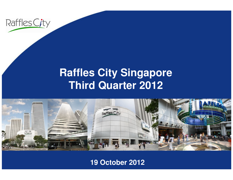

#### **Raffles City SingaporeThird Quarter 2012**



#### **19 October 2012**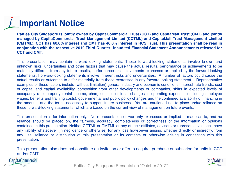## **Important Notice**

Raffles City Singapore is jointly owned by CapitaCommercial Trust (CCT) and CapitaMall Trust (CMT) and jointly managed by CapitaCommercial Trust Management Limited (CCTML) and CapitaMall Trust Management Limited (CMTML). CCT has 60.0% interest and CMT has 40.0% interest in RCS Trust. This presentation shall be read in conjunction with the respective 2012 Third Quarter Unaudited Financial Statement Announcements released for **CCT and CMT.**

This presentation may contain forward-looking statements. These forward-looking statements involve known and unknown risks, uncertainties and other factors that may cause the actual results, performance or achievements to be materially different from any future results, performance or achievements expressed or implied by the forward-looking statements. Forward-looking statements involve inherent risks and uncertainties. A number of factors could cause the actual results or outcomes to differ materially from those expressed in any forward-looking statement. Representative examples of these factors include (without limitation) general industry and economic conditions, interest rate trends, cost of capital and capital availability, competition from other developments or companies, shifts in expected levels of<br>convincingly rate proporty raptal income, oberge out collections, oberges in eperating expenses (including occupancy rate, property rental income, charge out collections, changes in operating expenses (including employee wages, benefits and training costs), governmental and public policy changes and the continued availability of financing in the amounts and the terms necessary to support future business. You are cautioned not to place undue reliance onthese forward-looking statements, which are based on the current view of management on future events.

This presentation is for information only. No representation or warranty expressed or implied is made as to, and no reliance should be placed on, the fairness, accuracy, completeness or correctness of the information or opinions contained in this presentation. Neither CCTML or CMTML or any of their affiliates, advisers or representatives shall have any liability whatsoever (in negligence or otherwise) for any loss howsoever arising, whether directly or indirectly, from any use, reliance or distribution of this presentation or its contents or otherwise arising in connection with thispresentation.

This presentation also does not constitute an invitation or offer to acquire, purchase or subscribe for units in CCTand/or CMT.

**Cap/taCommercial** 



Prust Trust Trust City Singapore Presentation \*October 2012\*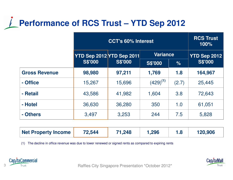#### **Performance of RCS Trust – YTD Sep 2012**

|                      | <b>CCT's 60% Interest</b> |                |                 |       | <b>RCS Trust</b><br>100% |
|----------------------|---------------------------|----------------|-----------------|-------|--------------------------|
|                      | YTD Sep 2012 YTD Sep 2011 |                | <b>Variance</b> |       | <b>YTD Sep 2012</b>      |
|                      | <b>S\$'000</b>            | <b>S\$'000</b> | <b>S\$'000</b>  | $\%$  | <b>S\$'000</b>           |
| <b>Gross Revenue</b> | 98,980                    | 97,211         | 1,769           | 1.8   | 164,967                  |
| - Office             | 15,267                    | 15,696         | $(429)^{(1)}$   | (2.7) | 25,445                   |
| - Retail             | 43,586                    | 41,982         | 1,604           | 3.8   | 72,643                   |
| - Hotel              | 36,630                    | 36,280         | 350             | 1.0   | 61,051                   |
| - Others             | 3,497                     | 3,253          | 244             | 7.5   | 5,828                    |

| Net Property Income | 72,544 | 71,248 | ,296 |  | 120,906 |
|---------------------|--------|--------|------|--|---------|
|---------------------|--------|--------|------|--|---------|

(1) The decline in office revenue was due to lower renewed or signed rents as compared to expiring rents





Raffles City Singapore Presentation \*October 2010\* Raffles City Singapore Presentation \*October 2012\*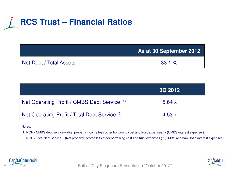## **RCS Trust – Financial Ratios**

|                         | As at 30 September 2012 |  |  |
|-------------------------|-------------------------|--|--|
| Net Debt / Total Assets | $33.1 \%$               |  |  |

|                                               | <b>3Q 2012</b> |
|-----------------------------------------------|----------------|
| Net Operating Profit / CMBS Debt Service (1)  | 5.64 $x$       |
| Net Operating Profit / Total Debt Service (2) | 4.53x          |

Notes:

(1) NOP / CMBS debt service – (Net property income less other borrowing cost and trust expenses ) / (CMBS interest expense )

(2) NOP / Total debt service – (Net property income less other borrowing cost and trust expenses ) / (CMBS and bank loan interest expenses)



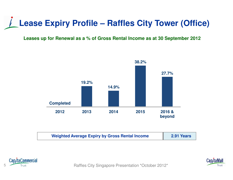### **Lease Expiry Profile – Raffles City Tower (Office)**

#### **Leases up for Renewal as a % of Gross Rental Income as at 30 September 2012**



| <b>Weighted Average Expiry by Gross Rental Income</b><br>2.91 Years |
|---------------------------------------------------------------------|
|---------------------------------------------------------------------|





Firm and Raffles City Singapore Presentation \*October 2012\*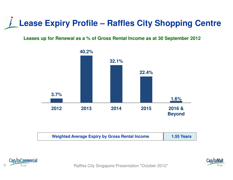### **Lease Expiry Profile – Raffles City Shopping Centre**

**Leases up for Renewal as a % of Gross Rental Income as at 30 September 2012**



| <b>Weighted Average Expiry by Gross Rental Income</b> | <b>1.55 Years</b> |
|-------------------------------------------------------|-------------------|
|                                                       |                   |





Raffles City Singapore Presentation \*October 2012\*